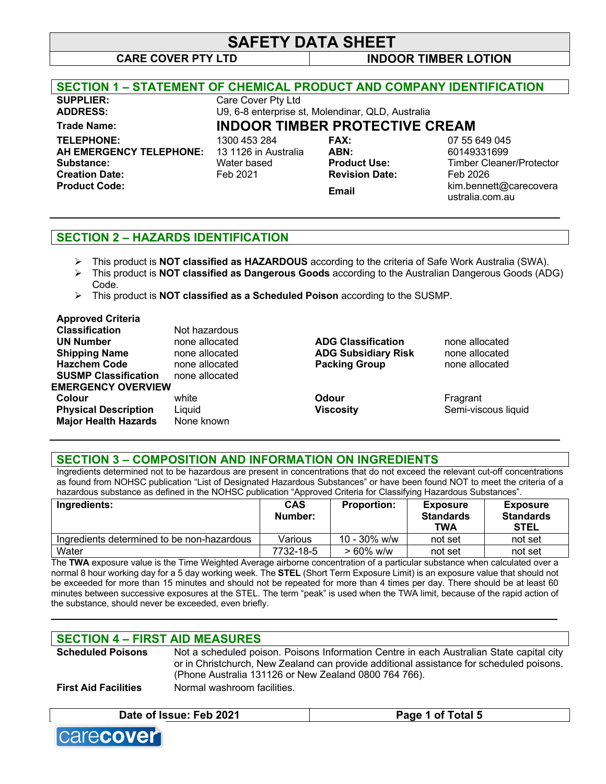# **SAFETY DATA SHEET**

**CARE COVER PTY LTD INDOOR TIMBER LOTION**

| <b>SECTION 1 – STATEMENT OF CHEMICAL PRODUCT AND COMPANY IDENTIFICATION</b> |                      |                                                   |                                           |
|-----------------------------------------------------------------------------|----------------------|---------------------------------------------------|-------------------------------------------|
| <b>SUPPLIER:</b>                                                            | Care Cover Pty Ltd   |                                                   |                                           |
| <b>ADDRESS:</b>                                                             |                      | U9, 6-8 enterprise st, Molendinar, QLD, Australia |                                           |
| <b>Trade Name:</b>                                                          |                      | <b>INDOOR TIMBER PROTECTIVE CREAM</b>             |                                           |
| <b>TELEPHONE:</b>                                                           | 1300 453 284         | <b>FAX:</b>                                       | 07 55 649 045                             |
| AH EMERGENCY TELEPHONE:                                                     | 13 1126 in Australia | ABN:                                              | 60149331699                               |
| Substance:                                                                  | Water based          | <b>Product Use:</b>                               | <b>Timber Cleaner/Protector</b>           |
| <b>Creation Date:</b>                                                       | Feb 2021             | <b>Revision Date:</b>                             | Feb 2026                                  |
| <b>Product Code:</b>                                                        |                      | <b>Email</b>                                      | kim.bennett@carecovera<br>ustralia.com.au |

## **SECTION 2 – HAZARDS IDENTIFICATION**

- Ø This product is **NOT classified as HAZARDOUS** according to the criteria of Safe Work Australia (SWA).
- Ø This product is **NOT classified as Dangerous Goods** according to the Australian Dangerous Goods (ADG) Code.
- Ø This product is **NOT classified as a Scheduled Poison** according to the SUSMP.

# **Approved Criteria**

| <b>Classification</b>       | Not hazardous  |                            |                     |
|-----------------------------|----------------|----------------------------|---------------------|
| <b>UN Number</b>            | none allocated | <b>ADG Classification</b>  | none allocated      |
| <b>Shipping Name</b>        | none allocated | <b>ADG Subsidiary Risk</b> | none allocated      |
| <b>Hazchem Code</b>         | none allocated | <b>Packing Group</b>       | none allocated      |
| <b>SUSMP Classification</b> | none allocated |                            |                     |
| <b>EMERGENCY OVERVIEW</b>   |                |                            |                     |
| Colour                      | white          | Odour                      | Fragrant            |
| <b>Physical Description</b> | Liquid         | <b>Viscosity</b>           | Semi-viscous liquid |
| <b>Major Health Hazards</b> | None known     |                            |                     |
|                             |                |                            |                     |

## **SECTION 3 – COMPOSITION AND INFORMATION ON INGREDIENTS**

Ingredients determined not to be hazardous are present in concentrations that do not exceed the relevant cut-off concentrations as found from NOHSC publication "List of Designated Hazardous Substances" or have been found NOT to meet the criteria of a hazardous substance as defined in the NOHSC publication "Approved Criteria for Classifying Hazardous Substances".

| Ingredients:                               | <b>CAS</b><br>Number: | <b>Proportion:</b> | <b>Exposure</b><br><b>Standards</b><br><b>TWA</b> | <b>Exposure</b><br><b>Standards</b><br><b>STEL</b> |
|--------------------------------------------|-----------------------|--------------------|---------------------------------------------------|----------------------------------------------------|
| Ingredients determined to be non-hazardous | Various               | $10 - 30\%$ w/w    | not set                                           | not set                                            |
| Water                                      | 7732-18-5             | $> 60\%$ w/w       | not set                                           | not set                                            |

The **TWA** exposure value is the Time Weighted Average airborne concentration of a particular substance when calculated over a normal 8 hour working day for a 5 day working week. The **STEL** (Short Term Exposure Limit) is an exposure value that should not be exceeded for more than 15 minutes and should not be repeated for more than 4 times per day. There should be at least 60 minutes between successive exposures at the STEL. The term "peak" is used when the TWA limit, because of the rapid action of the substance, should never be exceeded, even briefly.

**\_\_\_\_\_\_\_\_\_\_\_\_\_\_\_\_\_\_\_\_\_\_\_\_\_\_\_\_\_\_\_\_\_\_\_\_\_\_\_\_\_\_\_\_\_\_\_\_\_\_\_\_\_\_\_\_\_\_\_\_\_\_\_\_\_\_\_\_\_\_\_\_\_\_\_\_\_\_\_\_\_\_\_\_\_\_\_\_\_\_\_\_**

## **SECTION 4 – FIRST AID MEASURES**

| <b>Scheduled Poisons</b>    | Not a scheduled poison. Poisons Information Centre in each Australian State capital city<br>or in Christchurch, New Zealand can provide additional assistance for scheduled poisons. |
|-----------------------------|--------------------------------------------------------------------------------------------------------------------------------------------------------------------------------------|
|                             | (Phone Australia 131126 or New Zealand 0800 764 766).                                                                                                                                |
| <b>First Aid Facilities</b> | Normal washroom facilities.                                                                                                                                                          |

## **Date of Issue: Feb 2021 Page 1 of Total 5**

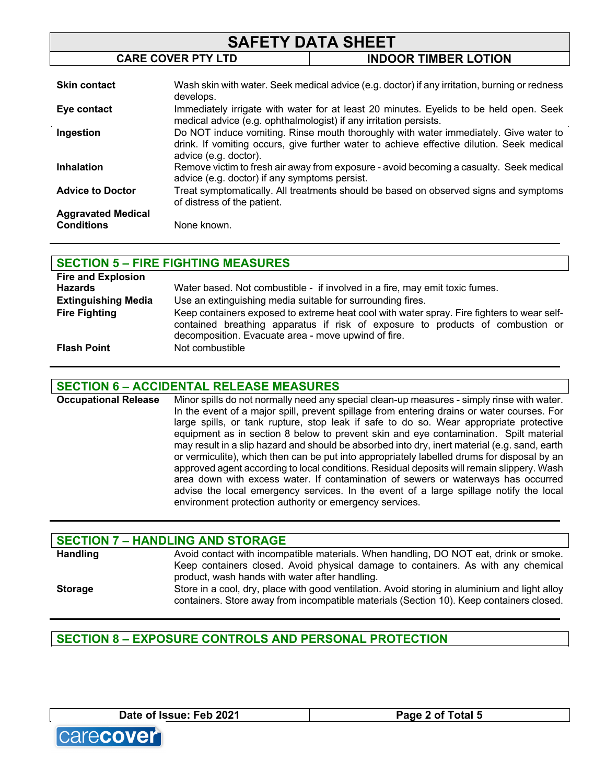| <b>SAFETY DATA SHEET</b>  |                                                                                                                                                                                                            |                                                                                               |
|---------------------------|------------------------------------------------------------------------------------------------------------------------------------------------------------------------------------------------------------|-----------------------------------------------------------------------------------------------|
|                           | <b>CARE COVER PTY LTD</b>                                                                                                                                                                                  | <b>INDOOR TIMBER LOTION</b>                                                                   |
|                           |                                                                                                                                                                                                            |                                                                                               |
| <b>Skin contact</b>       | develops.                                                                                                                                                                                                  | Wash skin with water. Seek medical advice (e.g. doctor) if any irritation, burning or redness |
| Eye contact               | Immediately irrigate with water for at least 20 minutes. Eyelids to be held open. Seek<br>medical advice (e.g. ophthalmologist) if any irritation persists.                                                |                                                                                               |
| Ingestion                 | Do NOT induce vomiting. Rinse mouth thoroughly with water immediately. Give water to<br>drink. If vomiting occurs, give further water to achieve effective dilution. Seek medical<br>advice (e.g. doctor). |                                                                                               |
| <b>Inhalation</b>         | Remove victim to fresh air away from exposure - avoid becoming a casualty. Seek medical<br>advice (e.g. doctor) if any symptoms persist.                                                                   |                                                                                               |
| <b>Advice to Doctor</b>   | of distress of the patient.                                                                                                                                                                                | Treat symptomatically. All treatments should be based on observed signs and symptoms          |
| <b>Aggravated Medical</b> |                                                                                                                                                                                                            |                                                                                               |
| <b>Conditions</b>         | None known.                                                                                                                                                                                                |                                                                                               |

|                            | <b>SECTION 5 - FIRE FIGHTING MEASURES</b>                                                                                                                                                                                           |
|----------------------------|-------------------------------------------------------------------------------------------------------------------------------------------------------------------------------------------------------------------------------------|
| <b>Fire and Explosion</b>  |                                                                                                                                                                                                                                     |
| <b>Hazards</b>             | Water based. Not combustible - if involved in a fire, may emit toxic fumes.                                                                                                                                                         |
| <b>Extinguishing Media</b> | Use an extinguishing media suitable for surrounding fires.                                                                                                                                                                          |
| <b>Fire Fighting</b>       | Keep containers exposed to extreme heat cool with water spray. Fire fighters to wear self-<br>contained breathing apparatus if risk of exposure to products of combustion or<br>decomposition. Evacuate area - move upwind of fire. |
| <b>Flash Point</b>         | Not combustible                                                                                                                                                                                                                     |

## **SECTION 6 – ACCIDENTAL RELEASE MEASURES**

**Occupational Release** Minor spills do not normally need any special clean-up measures - simply rinse with water. In the event of a major spill, prevent spillage from entering drains or water courses. For large spills, or tank rupture, stop leak if safe to do so. Wear appropriate protective equipment as in section 8 below to prevent skin and eye contamination. Spilt material may result in a slip hazard and should be absorbed into dry, inert material (e.g. sand, earth or vermiculite), which then can be put into appropriately labelled drums for disposal by an approved agent according to local conditions. Residual deposits will remain slippery. Wash area down with excess water. If contamination of sewers or waterways has occurred advise the local emergency services. In the event of a large spillage notify the local environment protection authority or emergency services.

|                 | <b>SECTION 7 - HANDLING AND STORAGE</b>                                                                                                                                                                                      |
|-----------------|------------------------------------------------------------------------------------------------------------------------------------------------------------------------------------------------------------------------------|
| <b>Handling</b> | Avoid contact with incompatible materials. When handling, DO NOT eat, drink or smoke.<br>Keep containers closed. Avoid physical damage to containers. As with any chemical<br>product, wash hands with water after handling. |
| <b>Storage</b>  | Store in a cool, dry, place with good ventilation. Avoid storing in aluminium and light alloy<br>containers. Store away from incompatible materials (Section 10). Keep containers closed.                                    |

## **SECTION 8 – EXPOSURE CONTROLS AND PERSONAL PROTECTION**

**Date of Issue: Feb 2021 Page 2 of Total 5**



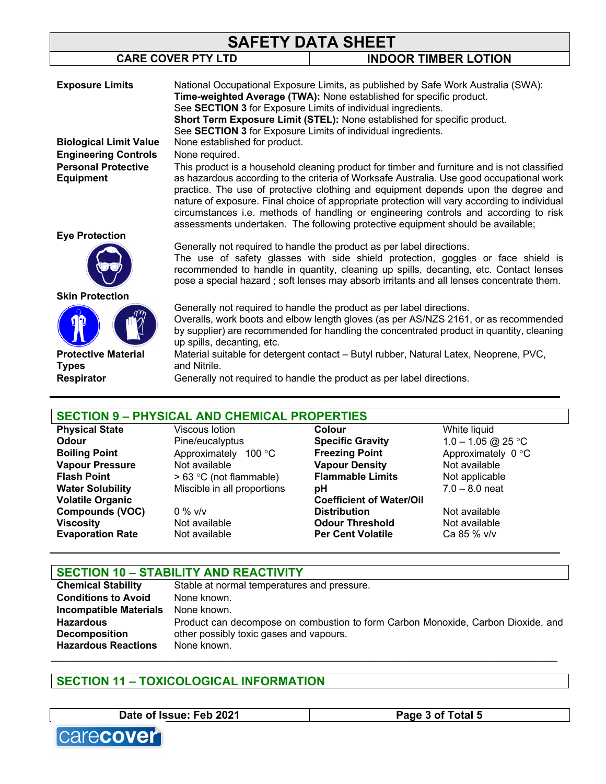| <b>SAFETY DATA SHEET</b>                       |                                                                                                                                                                                                                                                                                                                                                                                                                                                                                                                                                          |                                                                                                                                                                                                                                                                                                                                                |  |
|------------------------------------------------|----------------------------------------------------------------------------------------------------------------------------------------------------------------------------------------------------------------------------------------------------------------------------------------------------------------------------------------------------------------------------------------------------------------------------------------------------------------------------------------------------------------------------------------------------------|------------------------------------------------------------------------------------------------------------------------------------------------------------------------------------------------------------------------------------------------------------------------------------------------------------------------------------------------|--|
|                                                | <b>CARE COVER PTY LTD</b>                                                                                                                                                                                                                                                                                                                                                                                                                                                                                                                                | <b>INDOOR TIMBER LOTION</b>                                                                                                                                                                                                                                                                                                                    |  |
| <b>Exposure Limits</b>                         |                                                                                                                                                                                                                                                                                                                                                                                                                                                                                                                                                          | National Occupational Exposure Limits, as published by Safe Work Australia (SWA):<br>Time-weighted Average (TWA): None established for specific product.                                                                                                                                                                                       |  |
| <b>Biological Limit Value</b>                  | See SECTION 3 for Exposure Limits of individual ingredients.<br>Short Term Exposure Limit (STEL): None established for specific product.<br>See SECTION 3 for Exposure Limits of individual ingredients.<br>None established for product.                                                                                                                                                                                                                                                                                                                |                                                                                                                                                                                                                                                                                                                                                |  |
| <b>Engineering Controls</b>                    | None required.                                                                                                                                                                                                                                                                                                                                                                                                                                                                                                                                           |                                                                                                                                                                                                                                                                                                                                                |  |
| <b>Personal Protective</b><br><b>Equipment</b> | This product is a household cleaning product for timber and furniture and is not classified<br>as hazardous according to the criteria of Worksafe Australia. Use good occupational work<br>practice. The use of protective clothing and equipment depends upon the degree and<br>nature of exposure. Final choice of appropriate protection will vary according to individual<br>circumstances i.e. methods of handling or engineering controls and according to risk<br>assessments undertaken. The following protective equipment should be available; |                                                                                                                                                                                                                                                                                                                                                |  |
| <b>Eye Protection</b>                          |                                                                                                                                                                                                                                                                                                                                                                                                                                                                                                                                                          |                                                                                                                                                                                                                                                                                                                                                |  |
|                                                |                                                                                                                                                                                                                                                                                                                                                                                                                                                                                                                                                          | Generally not required to handle the product as per label directions.<br>The use of safety glasses with side shield protection, goggles or face shield is<br>recommended to handle in quantity, cleaning up spills, decanting, etc. Contact lenses<br>pose a special hazard; soft lenses may absorb irritants and all lenses concentrate them. |  |
| <b>Skin Protection</b>                         |                                                                                                                                                                                                                                                                                                                                                                                                                                                                                                                                                          |                                                                                                                                                                                                                                                                                                                                                |  |
|                                                | up spills, decanting, etc.                                                                                                                                                                                                                                                                                                                                                                                                                                                                                                                               | Generally not required to handle the product as per label directions.<br>Overalls, work boots and elbow length gloves (as per AS/NZS 2161, or as recommended<br>by supplier) are recommended for handling the concentrated product in quantity, cleaning                                                                                       |  |
| <b>Protective Material</b><br><b>Types</b>     | and Nitrile.                                                                                                                                                                                                                                                                                                                                                                                                                                                                                                                                             | Material suitable for detergent contact – Butyl rubber, Natural Latex, Neoprene, PVC,                                                                                                                                                                                                                                                          |  |
| <b>Respirator</b>                              |                                                                                                                                                                                                                                                                                                                                                                                                                                                                                                                                                          | Generally not required to handle the product as per label directions.                                                                                                                                                                                                                                                                          |  |

## **SECTION 9 – PHYSICAL AND CHEMICAL PROPERTIES**

**Volatile Organic Compounds (VOC)** 0 % v/v<br>**Viscosity Not available Evaporation Rate Not available** 

**Odour** Pine/eucalyptus **Specific Gravity** 1.0 – 1.05 @ 25 °C<br> **Boiling Point** Approximately 100 °C **Freezing Point** Approximately 0 °C **Boiling Point** Approximately 100 °C **Freezing Point** Approximately 0 °C **Vapour Pressure** Not available **Vapour Density** Not available **Flash Point**  $> 63 °C$  (not flammable) **Flammable Limits** Not applicable **Water Solubility** Miscible in all proportions **pH** 7.0 - 8.0 neat Miscible in all proportions **pH** 7.0 – 8.0 neat **Viscosity Not available <b>Odour Threshold** Mot available<br> **Evaporation Rate** Mot available **Per Cent Volatile** Ca 85 % v/v

**Physical State** Viscous lotion **Colour** White liquid **Coefficient of Water/Oil Distribution** Not available

## **SECTION 10 – STABILITY AND REACTIVITY**

**Chemical Stability** Stable at normal temperatures and pressure. **Conditions to Avoid** None known. **Incompatible Materials** None known. **Hazardous Decomposition**  Product can decompose on combustion to form Carbon Monoxide, Carbon Dioxide, and other possibly toxic gases and vapours. **Hazardous Reactions** None known. \_\_\_\_\_\_\_\_\_\_\_\_\_\_\_\_\_\_\_\_\_\_\_\_\_\_\_\_\_\_\_\_\_\_\_\_\_\_\_\_\_\_\_\_\_\_\_\_\_\_\_\_\_\_\_\_\_\_\_\_\_\_\_\_\_\_\_\_\_\_\_\_\_\_\_\_\_\_\_\_\_\_\_\_\_\_\_\_\_\_\_\_

## **SECTION 11 – TOXICOLOGICAL INFORMATION**

**Date of Issue: Feb 2021 Page 3 of Total 5**

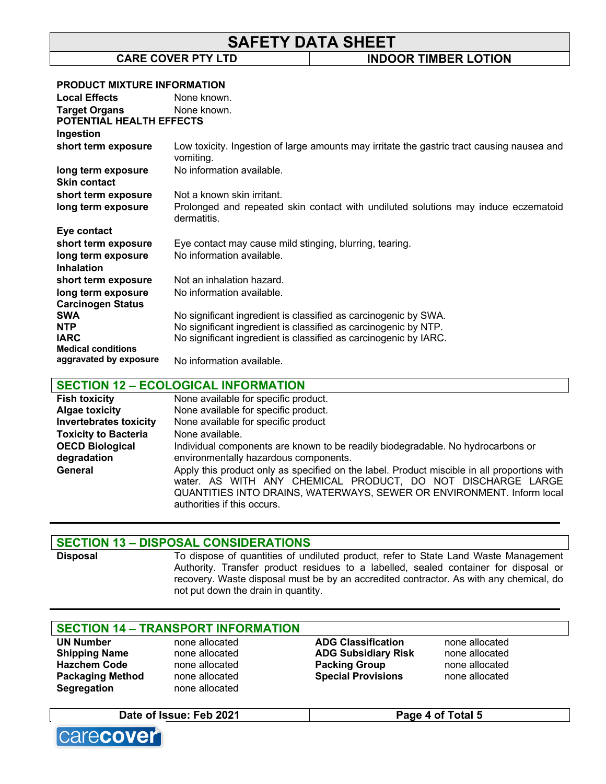# **SAFETY DATA SHEET**

**CARE COVER PTY LTD INDOOR TIMBER LOTION**

#### **PRODUCT MIXTURE INFORMATION**

| <b>Local Effects</b>      | None known.                                                                                             |
|---------------------------|---------------------------------------------------------------------------------------------------------|
| <b>Target Organs</b>      | None known.                                                                                             |
| POTENTIAL HEALTH EFFECTS  |                                                                                                         |
| Ingestion                 |                                                                                                         |
| short term exposure       | Low toxicity. Ingestion of large amounts may irritate the gastric tract causing nausea and<br>vomiting. |
| long term exposure        | No information available.                                                                               |
| <b>Skin contact</b>       |                                                                                                         |
| short term exposure       | Not a known skin irritant.                                                                              |
| long term exposure        | Prolonged and repeated skin contact with undiluted solutions may induce eczematoid<br>dermatitis.       |
| Eye contact               |                                                                                                         |
| short term exposure       | Eye contact may cause mild stinging, blurring, tearing.                                                 |
| long term exposure        | No information available.                                                                               |
| <b>Inhalation</b>         |                                                                                                         |
| short term exposure       | Not an inhalation hazard.                                                                               |
| long term exposure        | No information available.                                                                               |
| <b>Carcinogen Status</b>  |                                                                                                         |
| <b>SWA</b>                | No significant ingredient is classified as carcinogenic by SWA.                                         |
| <b>NTP</b>                | No significant ingredient is classified as carcinogenic by NTP.                                         |
| <b>IARC</b>               | No significant ingredient is classified as carcinogenic by IARC.                                        |
| <b>Medical conditions</b> |                                                                                                         |
| aggravated by exposure    | No information available.                                                                               |

## **SECTION 12 – ECOLOGICAL INFORMATION**

| <b>Fish toxicity</b>          | None available for specific product.                                                                                                                                                                                                                               |
|-------------------------------|--------------------------------------------------------------------------------------------------------------------------------------------------------------------------------------------------------------------------------------------------------------------|
| <b>Algae toxicity</b>         | None available for specific product.                                                                                                                                                                                                                               |
| <b>Invertebrates toxicity</b> | None available for specific product                                                                                                                                                                                                                                |
| <b>Toxicity to Bacteria</b>   | None available.                                                                                                                                                                                                                                                    |
| <b>OECD Biological</b>        | Individual components are known to be readily biodegradable. No hydrocarbons or                                                                                                                                                                                    |
| degradation                   | environmentally hazardous components.                                                                                                                                                                                                                              |
| General                       | Apply this product only as specified on the label. Product miscible in all proportions with<br>water. AS WITH ANY CHEMICAL PRODUCT, DO NOT DISCHARGE LARGE<br>QUANTITIES INTO DRAINS, WATERWAYS, SEWER OR ENVIRONMENT. Inform local<br>authorities if this occurs. |

## **SECTION 13 – DISPOSAL CONSIDERATIONS**

Disposal To dispose of quantities of undiluted product, refer to State Land Waste Management Authority. Transfer product residues to a labelled, sealed container for disposal or recovery. Waste disposal must be by an accredited contractor. As with any chemical, do not put down the drain in quantity.

## **SECTION 14 – TRANSPORT INFORMATION**

| <b>UN Number</b>        | none allocated | <b>ADG Classification</b>  | none allocated |
|-------------------------|----------------|----------------------------|----------------|
| <b>Shipping Name</b>    | none allocated | <b>ADG Subsidiary Risk</b> | none allocated |
| <b>Hazchem Code</b>     | none allocated | <b>Packing Group</b>       | none allocated |
| <b>Packaging Method</b> | none allocated | <b>Special Provisions</b>  | none allocated |
| <b>Segregation</b>      | none allocated |                            |                |
|                         |                |                            |                |

### **Date of Issue: Feb 2021 Page 4 of Total 5**